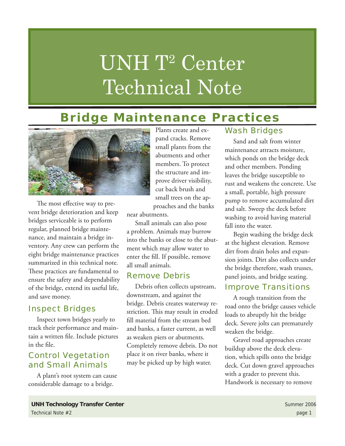# UNH T<sup>2</sup> Center Technical Note

### **Bridge Maintenance Practices**



The most effective way to prevent bridge deterioration and keep bridges serviceable is to perform regular, planned bridge maintenance, and maintain a bridge inventory. Any crew can perform the eight bridge maintenance practices summarized in this technical note. These practices are fundamental to ensure the safety and dependability of the bridge, extend its useful life, and save money.

### Inspect Bridges

Inspect town bridges yearly to track their performance and maintain a written file. Include pictures in the file.

### Control Vegetation and Small Animals

A plant's root system can cause considerable damage to a bridge.

Plants create and expand cracks. Remove small plants from the abutments and other members. To protect the structure and improve driver visibility, cut back brush and small trees on the approaches and the banks

near abutments.

Small animals can also pose a problem. Animals may burrow into the banks or close to the abutment which may allow water to enter the fill. If possible, remove all small animals.

### Remove Debris

Debris often collects upstream, downstream, and against the bridge. Debris creates waterway restriction. This may result in eroded fill material from the stream bed and banks, a faster current, as well as weaken piers or abutments. Completely remove debris. Do not place it on river banks, where it may be picked up by high water.

### Wash Bridges

Sand and salt from winter maintenance attracts moisture, which ponds on the bridge deck and other members. Ponding leaves the bridge susceptible to rust and weakens the concrete. Use a small, portable, high pressure pump to remove accumulated dirt and salt. Sweep the deck before washing to avoid having material fall into the water.

Begin washing the bridge deck at the highest elevation. Remove dirt from drain holes and expansion joints. Dirt also collects under the bridge therefore, wash trusses, panel joints, and bridge seating.

### Improve Transitions

A rough transition from the road onto the bridge causes vehicle loads to abruptly hit the bridge deck. Severe jolts can prematurely weaken the bridge.

Gravel road approaches create buildup above the deck elevation, which spills onto the bridge deck. Cut down gravel approaches with a grader to prevent this. Handwork is necessary to remove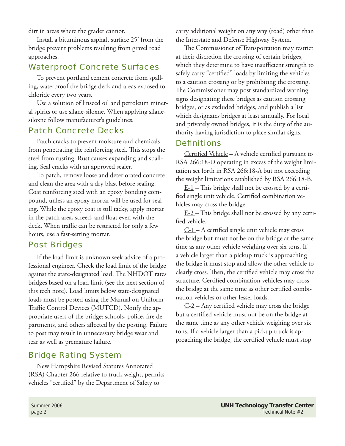dirt in areas where the grader cannot.

Install a bituminous asphalt surface 25' from the bridge prevent problems resulting from gravel road approaches.

### Waterproof Concrete Surfaces

To prevent portland cement concrete from spalling, waterproof the bridge deck and areas exposed to chloride every two years.

Use a solution of linseed oil and petroleum mineral spirits or use silane-siloxne. When applying silanesiloxne follow manufacturer's guidelines.

### Patch Concrete Decks

Patch cracks to prevent moisture and chemicals from penetrating the reinforcing steel. This stops the steel from rusting. Rust causes expanding and spalling. Seal cracks with an approved sealer.

To patch, remove loose and deteriorated concrete and clean the area with a dry blast before sealing. Coat reinforcing steel with an epoxy bonding compound, unless an epoxy mortar will be used for sealing. While the epoxy coat is still tacky, apply mortar in the patch area, screed, and float even with the deck. When traffic can be restricted for only a few hours, use a fast-setting mortar.

### Post Bridges

If the load limit is unknown seek advice of a professional engineer. Check the load limit of the bridge against the state-designated load. The NHDOT rates bridges based on a load limit (see the next section of this tech note). Load limits below state-designated loads must be posted using the Manual on Uniform Traffic Control Devices (MUTCD). Notify the appropriate users of the bridge: schools, police, fire departments, and others affected by the posting. Failure to post may result in unnecessary bridge wear and tear as well as premature failure.

### Bridge Rating System

New Hampshire Revised Statutes Annotated (RSA) Chapter 266 relative to truck weight, permits vehicles "certified" by the Department of Safety to

carry additional weight on any way (road) other than the Interstate and Defense Highway System.

The Commissioner of Transportation may restrict at their discretion the crossing of certain bridges, which they determine to have insufficient strength to safely carry "certified" loads by limiting the vehicles to a caution crossing or by prohibiting the crossing. The Commissioner may post standardized warning signs designating these bridges as caution crossing bridges, or as excluded bridges, and publish a list which designates bridges at least annually. For local and privately owned bridges, it is the duty of the authority having jurisdiction to place similar signs.

### **Definitions**

Certified Vehicle – A vehicle certified pursuant to RSA 266:18-D operating in excess of the weight limitation set forth in RSA 266:18-A but not exceeding the weight limitations established by RSA 266:18-B.

 $E-1$  – This bridge shall not be crossed by a certified single unit vehicle. Certified combination vehicles may cross the bridge.

 $E-2$  – This bridge shall not be crossed by any certified vehicle.

 $C-1$  – A certified single unit vehicle may cross the bridge but must not be on the bridge at the same time as any other vehicle weighing over six tons. If a vehicle larger than a pickup truck is approaching the bridge it must stop and allow the other vehicle to clearly cross. Then, the certified vehicle may cross the structure. Certified combination vehicles may cross the bridge at the same time as other certified combination vehicles or other lesser loads.

 $C-2$  – Any certified vehicle may cross the bridge but a certified vehicle must not be on the bridge at the same time as any other vehicle weighing over six tons. If a vehicle larger than a pickup truck is approaching the bridge, the certified vehicle must stop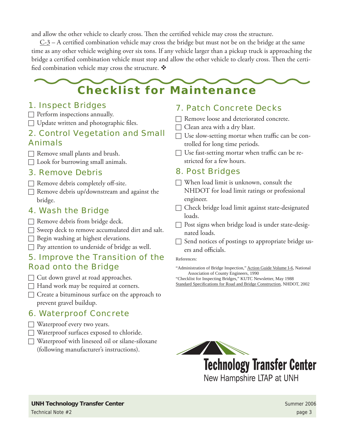and allow the other vehicle to clearly cross. Then the certified vehicle may cross the structure.

 $C-3$  – A certified combination vehicle may cross the bridge but must not be on the bridge at the same time as any other vehicle weighing over six tons. If any vehicle larger than a pickup truck is approaching the bridge a certified combination vehicle must stop and allow the other vehicle to clearly cross. Then the certified combination vehicle may cross the structure.  $\mathbf{\hat{*}}$ 

## **Checklist for Maintenance**

### 1. Inspect Bridges

- $\Box$  Perform inspections annually.
- $\Box$  Update written and photographic files.

### 2. Control Vegetation and Small Animals

 $\Box$  Remove small plants and brush.

 $\Box$  Look for burrowing small animals.

### 3. Remove Debris

- $\Box$  Remove debris completely off-site.
- $\Box$  Remove debris up/downstream and against the bridge.

### 4. Wash the Bridge

- $\Box$  Remove debris from bridge deck.
- $\Box$  Sweep deck to remove accumulated dirt and salt.
- $\Box$  Begin washing at highest elevations.
- $\Box$  Pay attention to underside of bridge as well.

### 5. Improve the Transition of the Road onto the Bridge

- $\Box$  Cut down gravel at road approaches.
- $\Box$  Hand work may be required at corners.
- $\Box$  Create a bituminous surface on the approach to prevent gravel buildup.

### 6. Waterproof Concrete

- $\Box$  Waterproof every two years.
- $\Box$  Waterproof surfaces exposed to chloride.
- $\Box$  Waterproof with lineseed oil or silane-siloxane
	- (following manufacturer's instructions).

### 7. Patch Concrete Decks

- $\Box$  Remove loose and deteriorated concrete.
- $\Box$  Clean area with a dry blast.
- $\Box$  Use slow-setting mortar when traffic can be controlled for long time periods.
- $\Box$  Use fast-setting mortar when traffic can be restricted for a few hours.

### 8. Post Bridges

- $\Box$  When load limit is unknown, consult the NHDOT for load limit ratings or professional engineer.
- $\Box$  Check bridge load limit against state-designated loads.
- $\Box$  Post signs when bridge load is under state-designated loads.
- $\Box$  Send notices of postings to appropriate bridge users and officials.

#### References:

- "Administration of Bridge Inspection," Action Guide Volume I-6, National Association of County Engineers, 1990
- "Checklist for Inspecting Bridges," KUTC Newsletter, May 1988 Standard Specifications for Road and Bridge Construction, NHDOT, 2002